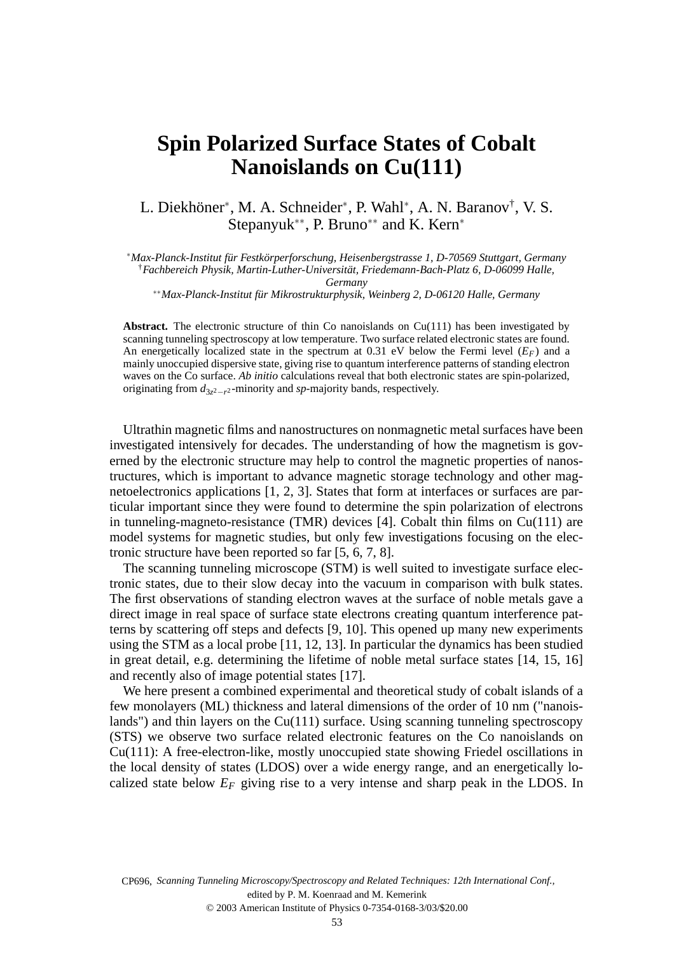## **Spin Polarized Surface States of Cobalt Nanoislands on Cu(111)**

L. Diekhöner<sup>∗</sup>, M. A. Schneider<sup>∗</sup>, P. Wahl<sup>∗</sup>, A. N. Baranov<sup>†</sup>, V. S. Stepanyuk<sup>\*\*</sup>, P. Bruno<sup>\*\*</sup> and K. Kern<sup>\*</sup>

<sup>∗</sup>*Max-Planck-Institut für Festkörperforschung, Heisenbergstrasse 1, D-70569 Stuttgart, Germany* †*Fachbereich Physik, Martin-Luther-Universität, Friedemann-Bach-Platz 6, D-06099 Halle,*

*Germany*

∗∗*Max-Planck-Institut für Mikrostrukturphysik, Weinberg 2, D-06120 Halle, Germany*

Abstract. The electronic structure of thin Co nanoislands on Cu(111) has been investigated by scanning tunneling spectroscopy at low temperature. Two surface related electronic states are found. An energetically localized state in the spectrum at 0.31 eV below the Fermi level (*EF*) and a mainly unoccupied dispersive state, giving rise to quantum interference patterns of standing electron waves on the Co surface. *Ab initio* calculations reveal that both electronic states are spin-polarized, originating from  $d_{3z^2-r^2}$ -minority and *sp*-majority bands, respectively.

Ultrathin magnetic films and nanostructures on nonmagnetic metal surfaces have been investigated intensively for decades. The understanding of how the magnetism is governed by the electronic structure may help to control the magnetic properties of nanostructures, which is important to advance magnetic storage technology and other magnetoelectronics applications [1, 2, 3]. States that form at interfaces or surfaces are particular important since they were found to determine the spin polarization of electrons in tunneling-magneto-resistance (TMR) devices [4]. Cobalt thin films on Cu(111) are model systems for magnetic studies, but only few investigations focusing on the electronic structure have been reported so far [5, 6, 7, 8].

The scanning tunneling microscope (STM) is well suited to investigate surface electronic states, due to their slow decay into the vacuum in comparison with bulk states. The first observations of standing electron waves at the surface of noble metals gave a direct image in real space of surface state electrons creating quantum interference patterns by scattering off steps and defects [9, 10]. This opened up many new experiments using the STM as a local probe [11, 12, 13]. In particular the dynamics has been studied in great detail, e.g. determining the lifetime of noble metal surface states [14, 15, 16] and recently also of image potential states [17].

We here present a combined experimental and theoretical study of cobalt islands of a few monolayers (ML) thickness and lateral dimensions of the order of 10 nm ("nanoislands") and thin layers on the Cu(111) surface. Using scanning tunneling spectroscopy (STS) we observe two surface related electronic features on the Co nanoislands on Cu(111): A free-electron-like, mostly unoccupied state showing Friedel oscillations in the local density of states (LDOS) over a wide energy range, and an energetically localized state below  $E_F$  giving rise to a very intense and sharp peak in the LDOS. In

CP696, *Scanning Tunneling Microscopy/Spectroscopy and Related Techniques: 12th International Conf.*,<br>edited by P. M. Koenraad and M. Kemerink<br>© 2003 American Institute of Physics 0-7354-0168-3/03/\$20.00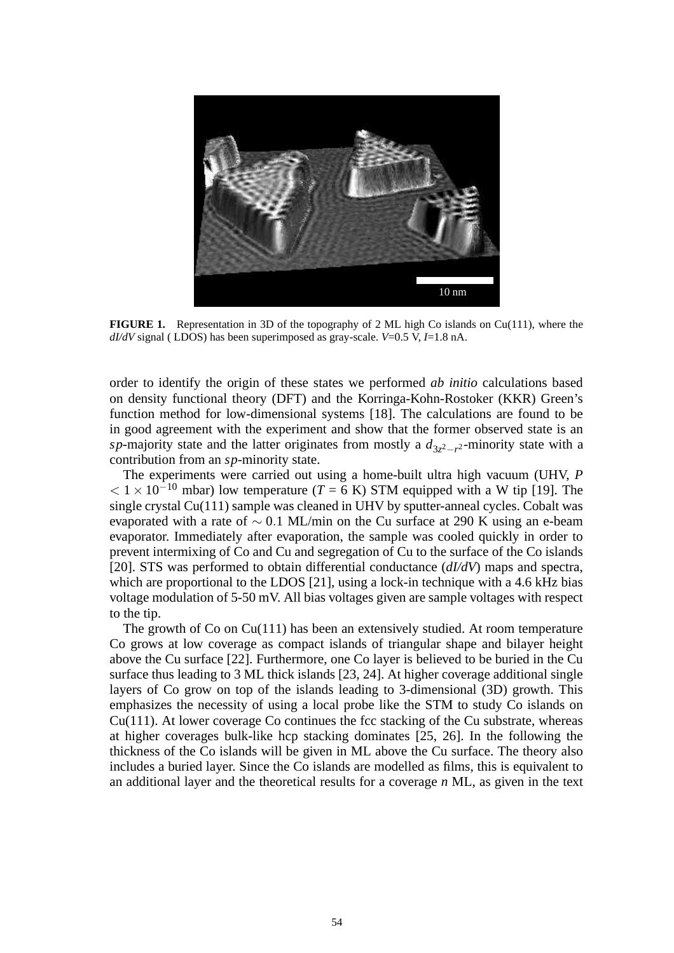

**FIGURE 1.** Representation in 3D of the topography of 2 ML high Co islands on Cu(111), where the *dI/dV* signal ( LDOS) has been superimposed as gray-scale. *V*=0.5 V, *I*=1.8 nA.

order to identify the origin of these states we performed *ab initio* calculations based on density functional theory (DFT) and the Korringa-Kohn-Rostoker (KKR) Green's function method for low-dimensional systems [18]. The calculations are found to be in good agreement with the experiment and show that the former observed state is an *sp*-majority state and the latter originates from mostly a  $d_{3z^2-r^2}$ -minority state with a contribution from an *sp*-minority state.

The experiments were carried out using a home-built ultra high vacuum (UHV, *P*  $< 1 \times 10^{-10}$  mbar) low temperature (*T* = 6 K) STM equipped with a W tip [19]. The single crystal Cu(111) sample was cleaned in UHV by sputter-anneal cycles. Cobalt was evaporated with a rate of  $\sim 0.1$  ML/min on the Cu surface at 290 K using an e-beam evaporator. Immediately after evaporation, the sample was cooled quickly in order to prevent intermixing of Co and Cu and segregation of Cu to the surface of the Co islands [20]. STS was performed to obtain differential conductance (*dI/dV*) maps and spectra, which are proportional to the LDOS [21], using a lock-in technique with a 4.6 kHz bias voltage modulation of 5-50 mV. All bias voltages given are sample voltages with respect to the tip.

The growth of Co on Cu(111) has been an extensively studied. At room temperature Co grows at low coverage as compact islands of triangular shape and bilayer height above the Cu surface [22]. Furthermore, one Co layer is believed to be buried in the Cu surface thus leading to 3 ML thick islands [23, 24]. At higher coverage additional single layers of Co grow on top of the islands leading to 3-dimensional (3D) growth. This emphasizes the necessity of using a local probe like the STM to study Co islands on Cu(111). At lower coverage Co continues the fcc stacking of the Cu substrate, whereas at higher coverages bulk-like hcp stacking dominates [25, 26]. In the following the thickness of the Co islands will be given in ML above the Cu surface. The theory also includes a buried layer. Since the Co islands are modelled as films, this is equivalent to an additional layer and the theoretical results for a coverage *n* ML, as given in the text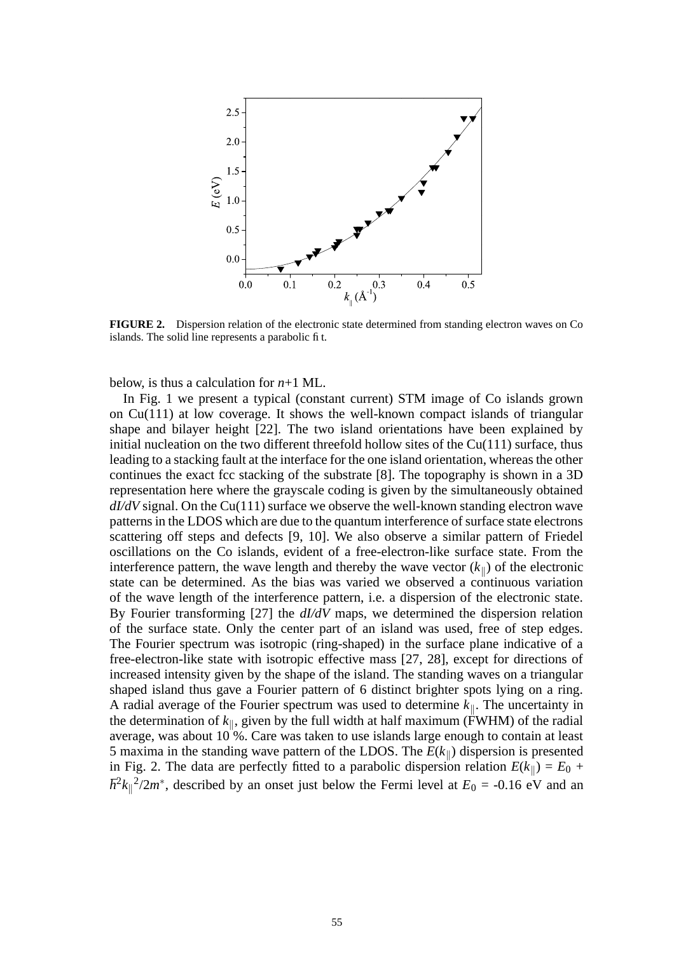

**FIGURE 2.** Dispersion relation of the electronic state determined from standing electron waves on Co islands. The solid line represents a parabolic fit.

below, is thus a calculation for  $n+1$  ML.

In Fig. 1 we present a typical (constant current) STM image of Co islands grown on Cu(111) at low coverage. It shows the well-known compact islands of triangular shape and bilayer height [22]. The two island orientations have been explained by initial nucleation on the two different threefold hollow sites of the  $Cu(111)$  surface, thus leading to a stacking fault at the interface for the one island orientation, whereas the other continues the exact fcc stacking of the substrate [8]. The topography is shown in a 3D representation here where the grayscale coding is given by the simultaneously obtained *dI/dV* signal. On the Cu(111) surface we observe the well-known standing electron wave patterns in the LDOS which are due to the quantum interference of surface state electrons scattering off steps and defects [9, 10]. We also observe a similar pattern of Friedel oscillations on the Co islands, evident of a free-electron-like surface state. From the interference pattern, the wave length and thereby the wave vector  $(k_{\parallel})$  of the electronic state can be determined. As the bias was varied we observed a continuous variation of the wave length of the interference pattern, i.e. a dispersion of the electronic state. By Fourier transforming [27] the *dI/dV* maps, we determined the dispersion relation of the surface state. Only the center part of an island was used, free of step edges. The Fourier spectrum was isotropic (ring-shaped) in the surface plane indicative of a free-electron-like state with isotropic effective mass [27, 28], except for directions of increased intensity given by the shape of the island. The standing waves on a triangular shaped island thus gave a Fourier pattern of 6 distinct brighter spots lying on a ring. A radial average of the Fourier spectrum was used to determine  $k_{\parallel}$ . The uncertainty in the determination of  $k_{\parallel}$ , given by the full width at half maximum (FWHM) of the radial average, was about  $10\%$ . Care was taken to use islands large enough to contain at least 5 maxima in the standing wave pattern of the LDOS. The  $E(k_{\parallel})$  dispersion is presented in Fig. 2. The data are perfectly fitted to a parabolic dispersion relation  $E(k_{\parallel}) = E_0 +$  $\hbar^2 k_{\parallel}^2/2m^*$ , described by an onset just below the Fermi level at  $E_0 = -0.16$  eV and an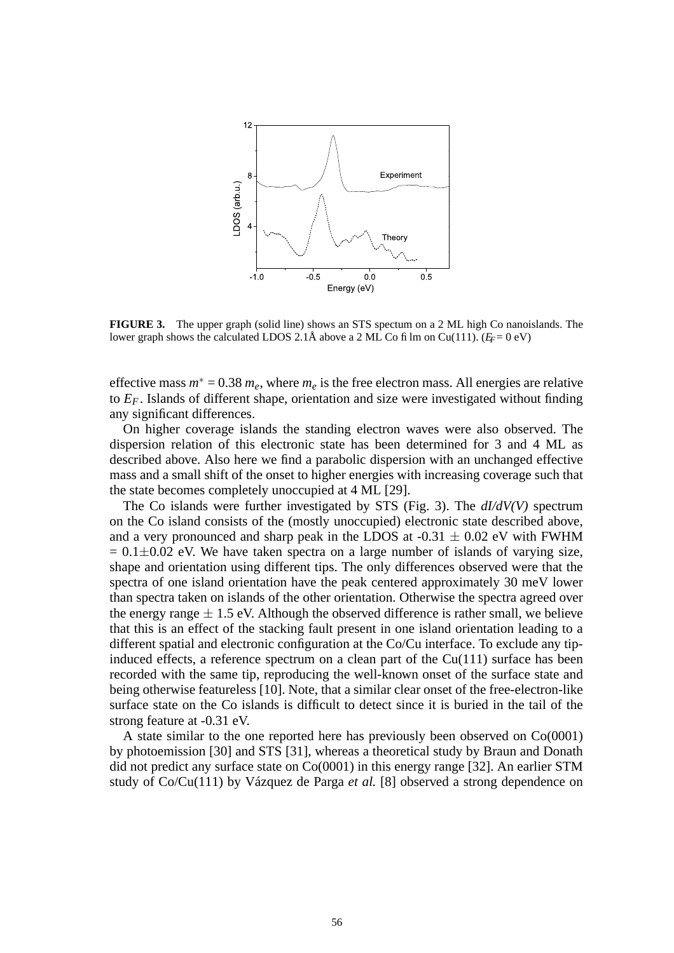

**FIGURE 3.** The upper graph (solid line) shows an STS spectum on a 2 ML high Co nanoislands. The lower graph shows the calculated LDOS 2.1Å above a 2 ML Co film on Cu(111). ( $E_F = 0$  eV)

effective mass  $m^* = 0.38$   $m_e$ , where  $m_e$  is the free electron mass. All energies are relative to *EF*. Islands of different shape, orientation and size were investigated without finding any significant differences.

On higher coverage islands the standing electron waves were also observed. The dispersion relation of this electronic state has been determined for 3 and 4 ML as described above. Also here we find a parabolic dispersion with an unchanged effective mass and a small shift of the onset to higher energies with increasing coverage such that the state becomes completely unoccupied at 4 ML [29].

The Co islands were further investigated by STS (Fig. 3). The *dI/dV(V)* spectrum on the Co island consists of the (mostly unoccupied) electronic state described above, and a very pronounced and sharp peak in the LDOS at  $-0.31 \pm 0.02$  eV with FWHM  $= 0.1 \pm 0.02$  eV. We have taken spectra on a large number of islands of varying size, shape and orientation using different tips. The only differences observed were that the spectra of one island orientation have the peak centered approximately 30 meV lower than spectra taken on islands of the other orientation. Otherwise the spectra agreed over the energy range  $\pm$  1.5 eV. Although the observed difference is rather small, we believe that this is an effect of the stacking fault present in one island orientation leading to a different spatial and electronic configuration at the Co/Cu interface. To exclude any tipinduced effects, a reference spectrum on a clean part of the  $Cu(111)$  surface has been recorded with the same tip, reproducing the well-known onset of the surface state and being otherwise featureless [10]. Note, that a similar clear onset of the free-electron-like surface state on the Co islands is difficult to detect since it is buried in the tail of the strong feature at -0.31 eV.

A state similar to the one reported here has previously been observed on Co(0001) by photoemission [30] and STS [31], whereas a theoretical study by Braun and Donath did not predict any surface state on Co(0001) in this energy range [32]. An earlier STM study of Co/Cu(111) by Vázquez de Parga *et al.* [8] observed a strong dependence on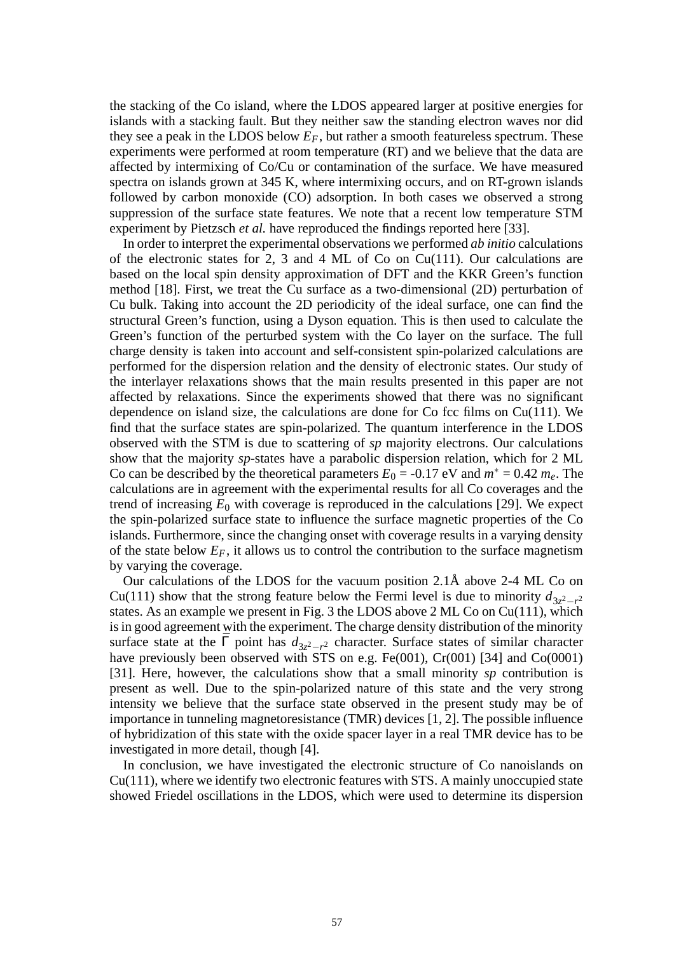the stacking of the Co island, where the LDOS appeared larger at positive energies for islands with a stacking fault. But they neither saw the standing electron waves nor did they see a peak in the LDOS below *EF*, but rather a smooth featureless spectrum. These experiments were performed at room temperature (RT) and we believe that the data are affected by intermixing of Co/Cu or contamination of the surface. We have measured spectra on islands grown at 345 K, where intermixing occurs, and on RT-grown islands followed by carbon monoxide (CO) adsorption. In both cases we observed a strong suppression of the surface state features. We note that a recent low temperature STM experiment by Pietzsch *et al.* have reproduced the findings reported here [33].

In order to interpret the experimental observations we performed *ab initio* calculations of the electronic states for 2, 3 and 4 ML of Co on Cu(111). Our calculations are based on the local spin density approximation of DFT and the KKR Green's function method [18]. First, we treat the Cu surface as a two-dimensional (2D) perturbation of Cu bulk. Taking into account the 2D periodicity of the ideal surface, one can find the structural Green's function, using a Dyson equation. This is then used to calculate the Green's function of the perturbed system with the Co layer on the surface. The full charge density is taken into account and self-consistent spin-polarized calculations are performed for the dispersion relation and the density of electronic states. Our study of the interlayer relaxations shows that the main results presented in this paper are not affected by relaxations. Since the experiments showed that there was no significant dependence on island size, the calculations are done for  $Co$  fcc films on  $Cu(111)$ . We find that the surface states are spin-polarized. The quantum interference in the LDOS observed with the STM is due to scattering of *sp* majority electrons. Our calculations show that the majority *sp*-states have a parabolic dispersion relation, which for 2 ML Co can be described by the theoretical parameters  $E_0 = -0.17$  eV and  $m^* = 0.42$   $m_e$ . The calculations are in agreement with the experimental results for all Co coverages and the trend of increasing  $E_0$  with coverage is reproduced in the calculations [29]. We expect the spin-polarized surface state to influence the surface magnetic properties of the Co islands. Furthermore, since the changing onset with coverage results in a varying density of the state below  $E_F$ , it allows us to control the contribution to the surface magnetism by varying the coverage.

Our calculations of the LDOS for the vacuum position 2.1Å above 2-4 ML Co on Cu(111) show that the strong feature below the Fermi level is due to minority  $d_{3z^2-r^2}$ states. As an example we present in Fig. 3 the LDOS above 2 ML Co on Cu(111), which is in good agreement with the experiment. The charge density distribution of the minority surface state at the  $\bar{\Gamma}$  point has  $d_{3z^2-r^2}$  character. Surface states of similar character have previously been observed with STS on e.g. Fe(001), Cr(001) [34] and Co(0001) [31]. Here, however, the calculations show that a small minority *sp* contribution is present as well. Due to the spin-polarized nature of this state and the very strong intensity we believe that the surface state observed in the present study may be of importance in tunneling magnetoresistance (TMR) devices [1, 2]. The possible influence of hybridization of this state with the oxide spacer layer in a real TMR device has to be investigated in more detail, though [4].

In conclusion, we have investigated the electronic structure of Co nanoislands on Cu(111), where we identify two electronic features with STS. A mainly unoccupied state showed Friedel oscillations in the LDOS, which were used to determine its dispersion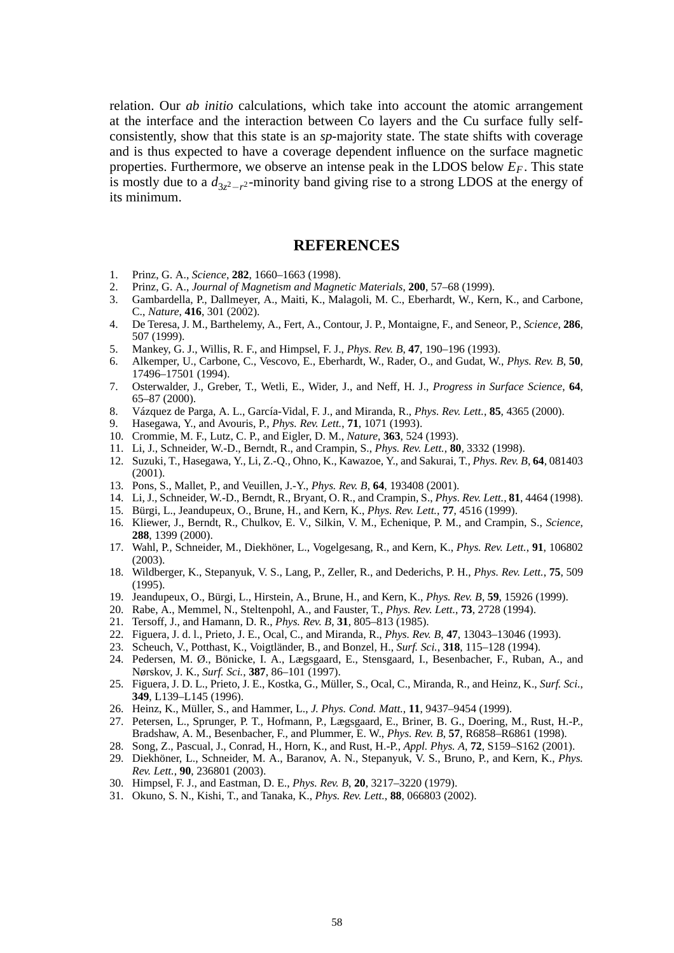relation. Our *ab initio* calculations, which take into account the atomic arrangement at the interface and the interaction between Co layers and the Cu surface fully selfconsistently, show that this state is an *sp*-majority state. The state shifts with coverage and is thus expected to have a coverage dependent influence on the surface magnetic properties. Furthermore, we observe an intense peak in the LDOS below *EF*. This state is mostly due to a  $d_{3z^2-r^2}$ -minority band giving rise to a strong LDOS at the energy of its minimum.

## **REFERENCES**

- 1. Prinz, G. A., *Science*, **282**, 1660–1663 (1998).
- 2. Prinz, G. A., *Journal of Magnetism and Magnetic Materials*, **200**, 57–68 (1999).
- 3. Gambardella, P., Dallmeyer, A., Maiti, K., Malagoli, M. C., Eberhardt, W., Kern, K., and Carbone, C., *Nature*, **416**, 301 (2002).
- 4. De Teresa, J. M., Barthelemy, A., Fert, A., Contour, J. P., Montaigne, F., and Seneor, P., *Science*, **286**, 507 (1999).
- 5. Mankey, G. J., Willis, R. F., and Himpsel, F. J., *Phys. Rev. B*, **47**, 190–196 (1993).
- 6. Alkemper, U., Carbone, C., Vescovo, E., Eberhardt, W., Rader, O., and Gudat, W., *Phys. Rev. B*, **50**, 17496–17501 (1994).
- 7. Osterwalder, J., Greber, T., Wetli, E., Wider, J., and Neff, H. J., *Progress in Surface Science*, **64**, 65–87 (2000).
- 8. Vázquez de Parga, A. L., García-Vidal, F. J., and Miranda, R., *Phys. Rev. Lett.*, **85**, 4365 (2000).
- 9. Hasegawa, Y., and Avouris, P., *Phys. Rev. Lett.*, **71**, 1071 (1993).
- 10. Crommie, M. F., Lutz, C. P., and Eigler, D. M., *Nature*, **363**, 524 (1993).
- 11. Li, J., Schneider, W.-D., Berndt, R., and Crampin, S., *Phys. Rev. Lett.*, **80**, 3332 (1998).
- 12. Suzuki, T., Hasegawa, Y., Li, Z.-Q., Ohno, K., Kawazoe, Y., and Sakurai, T., *Phys. Rev. B*, **64**, 081403 (2001).
- 13. Pons, S., Mallet, P., and Veuillen, J.-Y., *Phys. Rev. B*, **64**, 193408 (2001).
- 14. Li, J., Schneider, W.-D., Berndt, R., Bryant, O. R., and Crampin, S., *Phys. Rev. Lett.*, **81**, 4464 (1998).
- 15. Bürgi, L., Jeandupeux, O., Brune, H., and Kern, K., *Phys. Rev. Lett.*, **77**, 4516 (1999).
- 16. Kliewer, J., Berndt, R., Chulkov, E. V., Silkin, V. M., Echenique, P. M., and Crampin, S., *Science*, **288**, 1399 (2000).
- 17. Wahl, P., Schneider, M., Diekhöner, L., Vogelgesang, R., and Kern, K., *Phys. Rev. Lett.*, **91**, 106802 (2003).
- 18. Wildberger, K., Stepanyuk, V. S., Lang, P., Zeller, R., and Dederichs, P. H., *Phys. Rev. Lett.*, **75**, 509 (1995).
- 19. Jeandupeux, O., Bürgi, L., Hirstein, A., Brune, H., and Kern, K., *Phys. Rev. B*, **59**, 15926 (1999).
- 20. Rabe, A., Memmel, N., Steltenpohl, A., and Fauster, T., *Phys. Rev. Lett.*, **73**, 2728 (1994).
- 21. Tersoff, J., and Hamann, D. R., *Phys. Rev. B*, **31**, 805–813 (1985).
- 22. Figuera, J. d. l., Prieto, J. E., Ocal, C., and Miranda, R., *Phys. Rev. B*, **47**, 13043–13046 (1993).
- 23. Scheuch, V., Potthast, K., Voigtländer, B., and Bonzel, H., *Surf. Sci.*, **318**, 115–128 (1994).
- 24. Pedersen, M. Ø., Bönicke, I. A., Lægsgaard, E., Stensgaard, I., Besenbacher, F., Ruban, A., and Nørskov, J. K., *Surf. Sci.*, **387**, 86–101 (1997).
- 25. Figuera, J. D. L., Prieto, J. E., Kostka, G., Müller, S., Ocal, C., Miranda, R., and Heinz, K., *Surf. Sci.*, **349**, L139–L145 (1996).
- 26. Heinz, K., Müller, S., and Hammer, L., *J. Phys. Cond. Matt.*, **11**, 9437–9454 (1999).
- 27. Petersen, L., Sprunger, P. T., Hofmann, P., Lægsgaard, E., Briner, B. G., Doering, M., Rust, H.-P., Bradshaw, A. M., Besenbacher, F., and Plummer, E. W., *Phys. Rev. B*, **57**, R6858–R6861 (1998).
- 28. Song, Z., Pascual, J., Conrad, H., Horn, K., and Rust, H.-P., *Appl. Phys. A*, **72**, S159–S162 (2001).
- 29. Diekhöner, L., Schneider, M. A., Baranov, A. N., Stepanyuk, V. S., Bruno, P., and Kern, K., *Phys. Rev. Lett.*, **90**, 236801 (2003).
- 30. Himpsel, F. J., and Eastman, D. E., *Phys. Rev. B*, **20**, 3217–3220 (1979).
- 31. Okuno, S. N., Kishi, T., and Tanaka, K., *Phys. Rev. Lett.*, **88**, 066803 (2002).